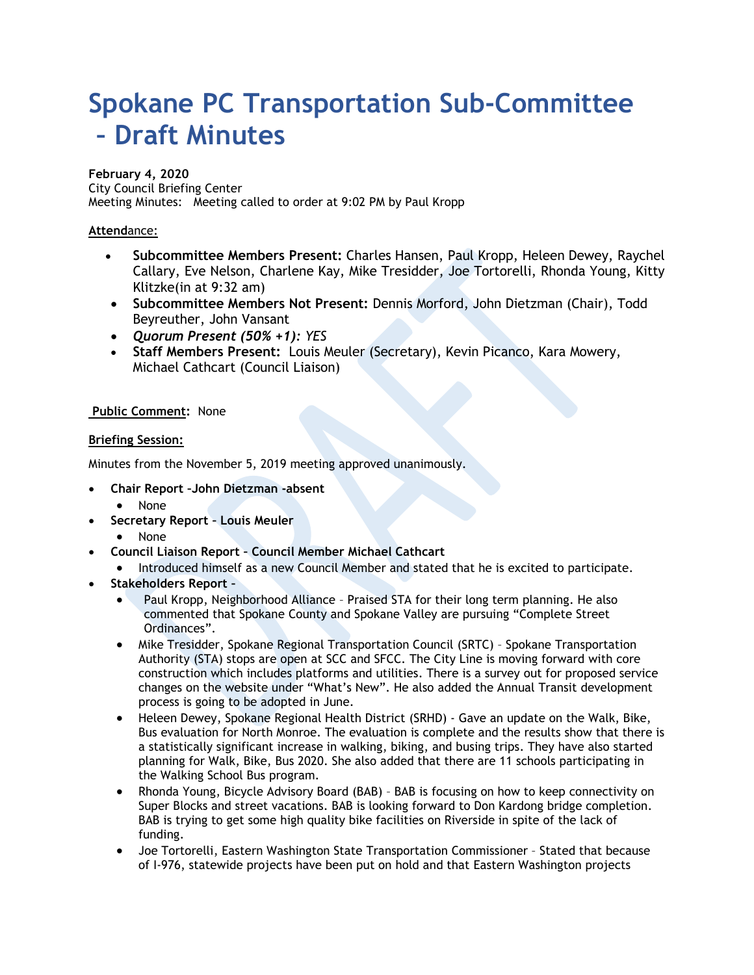# **Spokane PC Transportation Sub-Committee – Draft Minutes**

# **February 4, 2020**

City Council Briefing Center Meeting Minutes: Meeting called to order at 9:02 PM by Paul Kropp

# **Attend**ance:

- **Subcommittee Members Present:** Charles Hansen, Paul Kropp, Heleen Dewey, Raychel Callary, Eve Nelson, Charlene Kay, Mike Tresidder, Joe Tortorelli, Rhonda Young, Kitty Klitzke(in at 9:32 am)
- **Subcommittee Members Not Present:** Dennis Morford, John Dietzman (Chair), Todd Beyreuther, John Vansant
- *Quorum Present (50% +1): YES*
- **Staff Members Present:** Louis Meuler (Secretary), Kevin Picanco, Kara Mowery, Michael Cathcart (Council Liaison)

## **Public Comment:** None

## **Briefing Session:**

Minutes from the November 5, 2019 meeting approved unanimously.

- **Chair Report –John Dietzman -absent**
	- None
- **Secretary Report – Louis Meuler**
	- None
- **Council Liaison Report – Council Member Michael Cathcart**
	- Introduced himself as a new Council Member and stated that he is excited to participate.
- **Stakeholders Report –**
	- Paul Kropp, Neighborhood Alliance Praised STA for their long term planning. He also commented that Spokane County and Spokane Valley are pursuing "Complete Street Ordinances".
	- Mike Tresidder, Spokane Regional Transportation Council (SRTC) Spokane Transportation Authority (STA) stops are open at SCC and SFCC. The City Line is moving forward with core construction which includes platforms and utilities. There is a survey out for proposed service changes on the website under "What's New". He also added the Annual Transit development process is going to be adopted in June.
	- Heleen Dewey, Spokane Regional Health District (SRHD) Gave an update on the Walk, Bike, Bus evaluation for North Monroe. The evaluation is complete and the results show that there is a statistically significant increase in walking, biking, and busing trips. They have also started planning for Walk, Bike, Bus 2020. She also added that there are 11 schools participating in the Walking School Bus program.
	- Rhonda Young, Bicycle Advisory Board (BAB) BAB is focusing on how to keep connectivity on Super Blocks and street vacations. BAB is looking forward to Don Kardong bridge completion. BAB is trying to get some high quality bike facilities on Riverside in spite of the lack of funding.
	- Joe Tortorelli, Eastern Washington State Transportation Commissioner Stated that because of I-976, statewide projects have been put on hold and that Eastern Washington projects